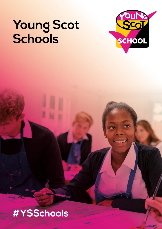# Young Scot<br>Schools



# #YSSchools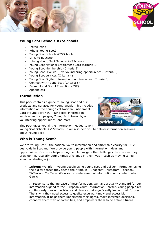



# **Young Scot Schools #YSSchools**

- **Introduction**
- Who is Young Scot?
- Young Scot Schools #YSSchools
- Links to Education
- Joining Young Scot Schools #YSSchools
- Young Scot National Entitlement Card (Criteria 1)
- Young Scot Membership (Criteria 2)
- Young Scot Hive #YSHive volunteering opportunities (Criteria 3)
- Young Scot services (Criteria 4)
- Young Scot Digital Information and Resources (Criteria 5)
- Connect with Young Scot (Criteria 6)
- Personal and Social Education (PSE)
- **Appendices**

# **Introduction**

This pack contains a guide to Young Scot and our products and services for young people. This includes information on the Young Scot National Entitlement Card (Young Scot NEC), our digital information services and campaigns, Young Scot Rewards, our volunteering opportunities, and more.



This pack gives you all the information needed to join

Young Scot Schools #YSSchools. It will also help you to deliver information sessions about Young Scot.

# **Who is Young Scot?**

We are Young Scot – the national youth information and citizenship charity for 11-26 year-olds in Scotland. We provide young people with information, ideas and opportunities. Our work helps young people navigate the challenges they face as they grow up – particularly during times of change in their lives – such as moving to high school or starting a job.

• **Inform**: We inform young people using young.scot and deliver information using the digital spaces they spend their time in – Snapchat, Instagram, Facebook, TikTok and YouTube. We also translate essential information and content into Gaelic.

In response to the increase of misinformation, we have a quality standard for our information aligned to the European Youth Information Charter. Young people are continuously making decisions and choices that significantly impact their futures. That's why they need access to quality-assured, timely and accessible information. It helps them understand their rights, make informed decisions, connects them with opportunities, and empowers them to be active citizens.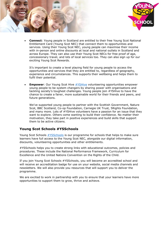



• **Connect**: Young people in Scotland are entitled to their free Young Scot National Entitlement Card (Young Scot NEC) that connect them to opportunities and services. Using their Young Scot NEC, young people can maximise their income with in-person and online discounts at local and national outlets in Scotland and across Europe. They can also use their Young Scot NECs for free proof of age, concessionary travel, and lots of local services too. They can also sign up for our exciting Young Scot Rewards.

It's important to create a level playing field for young people to access the opportunities and services that they are entitled to, regardless of geography, experience and circumstances. This supports their wellbeing and helps them to fulfil their potential.

• **Empower**: Our Young Scot Hive [#YSHive](https://youngscot.net/yshive) volunteering opportunities empower young people to be system changers by sharing power with organisations and tackling society's toughest challenges. Young people join #YSHive to have the chance to create a fairer, more sustainable world for their friends and peers, and future generations.

We've supported young people to partner with the Scottish Government, Nature Scot, BBC Scotland, Co-op Foundation, Carnegie UK Trust, 5Rights Foundation, and many more. Lots of #YSHive volunteers have a passion for an issue that they want to explore. Others come wanting to build their confidence. No matter their motivation, they take part in positive experiences and build skills that support them to be active citizens.

### **Young Scot Schools #YSSchools**

Young Scot Schools [#YSSchools](https://youngscot.net/schools) is our programme for schools that helps to make sure learners have full access to the Young Scot NEC, alongside our digital information, discounts, volunteering opportunities and other entitlements.

#YSSchools helps you to create strong links with educational outcomes, policies and procedures. These include the National Performance Framework, Curriculum for Excellence and the United Nations Convention on the Rights of the Child.

If you join Young Scot Schools #YSSchools, you will become an accredited school and will receive an accreditation badge for use on your website, social media channels and newsletters. We will also provide you resources that will support you to deliver the programme.

We are excited to work in partnership with you to ensure that your learners have more opportunities to support them to grow, thrive and achieve.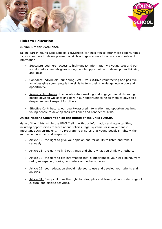



# **Links to Education**

#### **Curriculum for Excellence**

Taking part in Young Scot Schools #YSSchools can help you to offer more opportunities for your learners to develop essential skills and gain access to accurate and relevant information

- Successful Learners: access to high-quality information via young.scot and our social media channels gives young people opportunities to develop new thinking and ideas.
- Confident Individuals: our Young Scot Hive #YSHive volunteering and positive activities give young people the skills to turn their knowledge into action and opportunity.
- Responsible Citizens: the collaborative working and engagement skills young people develop whilst taking part in our opportunities helps them to develop a deeper sense of respect for others.
- Effective Contributors: our quality-assured information and opportunities help young people to develop their resilience and confidence skills.

#### **United Nations Convention on the Rights of the Child (UNCRC)**

Many of the rights within the UNCRC align with our information and opportunities, including opportunities to learn about policies, legal systems, or involvement in important decision-making. The programme ensures that young people's rights within your school are met and respected.

- Article 12: the right to give your opinion and for adults to listen and take it seriously.
- Article 13: the right to find out things and share what you think with others.
- Article 17: the right to get information that is important to your well-being, from radio, newspaper, books, computers and other sources.
- Article 29: your education should help you to use and develop your talents and abilities.
- Article 31: Every child has the right to relax, play and take part in a wide range of cultural and artistic activities.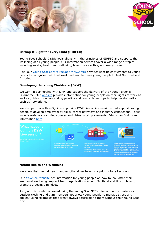



#### **Getting It Right for Every Child (GIRFEC)**

Young Scot Schools #YSSchools aligns with the principles of GIRFEC and supports the wellbeing of all young people. Our information services cover a wide range of topics, including safety, health and wellbeing, how to stay active, and many more.

Also, our [Young Scot Carers Package #YSCarers](https://young.scot/campaigns/national/young-carers) provides specific entitlements to young carers to recognise their hard work and enable these young people to feel Nurtured and Included.

#### **Developing the Young Workforce (DYW)**

We work in partnership with DYW and support the delivery of the Young Person's Guarantee. Our [website](https://young.scot/campaigns/national/work) provides information for young people on their rights at work as well as guides to understanding payslips and contracts and tips to help develop skills such as networking.

We also partner with e-Sgoil who provide DYW Live online sessions that support young people to develop employability skills, career pathways and industry connections. These include webinars, certified courses and virtual work placements. Adults can find more information [here.](https://e-sgoil.com/dyw)



#### **Mental Health and Wellbeing**

We know that mental health and emotional wellbeing is a priority for all schools.

Our  $#AyeFeel website$  has information for young people on how to look after their emotional wellbeing, support from organisations around Scotland and tips on how to promote a positive mindset.

Also, our discounts (accessed using the Young Scot NEC) offer outdoor experiences, outdoor clothing and gym memberships allow young people to manage stress and anxiety using strategies that aren't always accessible to them without their Young Scot NEC.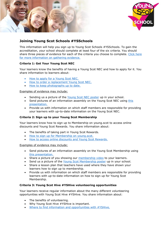



# **Joining Young Scot Schools #YSSchools**

This information will help you sign up to Young Scot Schools #YSSchools. To gain the accreditation, your school should complete at least four of the six criteria. You should share three pieces of evidence for each of the criteria you choose to complete. [Click here](https://youngscot.net/schools)  [for more information on gathering evidence.](https://youngscot.net/schools)

#### **Criteria 1: Get Your Young Scot NEC**

Your learners know the benefits of having a Young Scot NEC and how to apply for it. You share information to learners about:

- [How to apply for a Young Scot NEC.](https://young.scot/get-informed/national/young-scot-national-entitlement-card-frequently-asked-questions)
- [How to order a replacement Young Scot NEC.](https://young.scot/get-informed/national/young-scot-national-entitlement-card-frequently-asked-questions)
- [How to keep photographs up to date.](https://young.scot/get-informed/national/young-scot-national-entitlement-card-frequently-asked-questions)

#### Examples of evidence may include:

- Sending us a picture of the [Young Scot NEC poster](https://static1.squarespace.com/static/5cee5bd0687a1500015b5a9f/t/5f9a8cb33368d735c0c9f302/1603964088208/YS_Schools_Posters_A3_1.pdf) up in your school.
- Send pictures of an information assembly on the Young Scot NEC using [this](https://static1.squarespace.com/static/5cee5bd0687a1500015b5a9f/t/61a7611ad829653c53e7ee7a/1638359324024/Criteria+1+-+NEC.pdf)  [presentation.](https://static1.squarespace.com/static/5cee5bd0687a1500015b5a9f/t/61a7611ad829653c53e7ee7a/1638359324024/Criteria+1+-+NEC.pdf)
- Provide us with information on which staff members are responsible for providing your learners with up-to-date information on the Young Scot NEC.

#### **Criteria 2: Sign up to your Young Scot Membership**

Your learners know how to sign up to Membership on young.scot to access online discounts and Young Scot Rewards. You share information about:

- The benefits of taking part in Young Scot Rewards.
- [How to sign up for Membership on young.scot.](https://www.youtube.com/watch?app=desktop&feature=youtu.be&reload=9&v=-T8iwPR4Wwg)
- [How to access online discounts and Young Scot Rewards.](https://young.scot/discounts-and-rewards)

#### Examples of evidence may include:

- Send pictures of an information assembly on the Young Scot Membership using [this presentation.](https://static1.squarespace.com/static/5cee5bd0687a1500015b5a9f/t/61a76158977e6d7ac1f837de/1638359387334/Criteria+2+-+Membership.pdf)
- Share a picture of you showing our [membership video](https://www.youtube.com/watch?v=-T8iwPR4Wwg) to your learners.
- Send us a picture of the [Young Scot Membership poster](https://static1.squarespace.com/static/5cee5bd0687a1500015b5a9f/t/5f9a8d1638fc5b520e80870b/1603964190410/YS_Schools_Posters_A3_2.pdf) up in your school.
- Share a lesson plan that teachers have used where they have shown your learners how to sign up to membership.
- Provide us with information on which staff members are responsible for providing learners with up-to-date information on how to sign up for Young Scot Membership.

#### **Criteria 3: Young Scot Hive #YSHive volunteering opportunities**

Your learners receive regular information about the many different volunteering opportunities with Young Scot Hive #YSHive. You share information about:

- The benefits of volunteering.
- Why Young Scot Hive #YSHive is important.
- [Where to find information and opportunities with #YSHive.](https://young.scot/get-involved)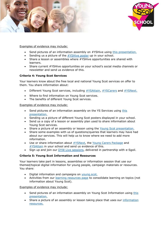



Examples of evidence may include:

- Send pictures of an information assembly on #YSHive using [this presentation.](https://static1.squarespace.com/static/5cee5bd0687a1500015b5a9f/t/61a761836fd4da066c9428f9/1638359428860/Criteria+3+-+Hive.pdf)
- Sending us a picture of the [#YSHive poster](https://static1.squarespace.com/static/5cee5bd0687a1500015b5a9f/t/5f9a8cef325d596dd6d25da7/1603964144091/YS_Schools_Posters_A3_3.pdf) up in your school.
- Share a lesson or assemblies where #YSHive opportunities are shared with learners.
- Share current #YSHive opportunities on your school's social media channels or newsletter and send us evidence of this.

#### **Criteria 4: Young Scot Services**

Your learners know about the free local and national Young Scot services on offer to them. You share information about:

- Different Young Scot services, including [#YSAttain,](https://youngscot.net/la-attain) [#YSCarers](https://youngscot.net/youngcarers) and [#YSNext.](https://youngscot.net/young-scot-next-ysnext)
- Where to find information on Young Scot services.
- The benefits of different Young Scot services.

Examples of evidence may include:

- Send pictures of an information assembly on the YS Services using this [presentation.](https://static1.squarespace.com/static/5cee5bd0687a1500015b5a9f/t/61a761c10ccdb40ea755e0d6/1638359491219/Criteria+4+-+Packages.pdf)
- Sending us a picture of different Young Scot posters displayed in your school.
- Send us a copy of a lesson or assembly plan used to share information about Young Scot services.
- Share a picture of an assembly or lesson using the [Young Scot presentation.](https://static1.squarespace.com/static/5cee5bd0687a1500015b5a9f/t/60018db05a6aff6763d6fdb8/1610714545862/Young+Scot+Information.pdf)
- Share some examples with us of questions/queries that learners may have had about our services. This will help us to know where we need to add more information.
- Use or share information about [#YSNext,](https://youngscot.net/young-scot-next-ysnext) the [Young Carers Package](https://youngscot.net/young-carers-package) and [#YSAttain](https://youngscot.net/attainment) in your school and send us evidence of this.
- Sign up and join our [DYW Live sessions,](https://www.e-sgoil.com/information-literacy-what-it-is-why-it-is-important-and-how-we-can-use-it/) delivered in partnership with e-Sgoil.

#### **Criteria 5: Young Scot Information and Resources**

Your learners take part in lessons, assemblies or information session that use our themed/topical digital information for young people, campaign materials or resources. You share:

- Digital information and campaigns on [young.scot.](https://young.scot/get-informed)
- Activities from our [learning resources page](https://youngscot.net/learning-resources) to consolidate learning on topics (not information about Young Scot).

Examples of evidence may include:

- Send pictures of an information assembly on Young Scot Information using [this](https://static1.squarespace.com/static/5cee5bd0687a1500015b5a9f/t/61a761f10ccdb40ea755e566/1638359539048/Criteria+5+-+Information.pdf)  [presentation.](https://static1.squarespace.com/static/5cee5bd0687a1500015b5a9f/t/61a761f10ccdb40ea755e566/1638359539048/Criteria+5+-+Information.pdf)
- Share a picture of an assembly or lesson taking place that uses our information [resources.](https://young.scot/get-informed)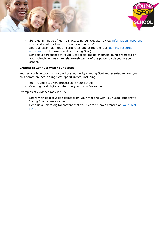



- Send us an image of learners accessing our website to view [information resources](https://young.scot/get-informed) (please do not disclose the identity of learners).
- Share a lesson plan that incorporates one or more of our learning resource [activities](https://youngscot.net/learning-resources) (not information about Young Scot).
- Send us a screenshot of Young Scot social media channels being promoted on your schools' online channels, newsletter or of the poster displayed in your school.

#### **Criteria 6: Connect with Young Scot**

Your school is in touch with your Local authority's Young Scot representative, and you collaborate on local Young Scot opportunities, including:

- Bulk Young Scot NEC processes in your school.
- Creating local digital content on young.scot/near-me.

Examples of evidence may include:

- Share with us discussion points from your meeting with your Local authority's Young Scot representative.
- Send us a link to digital content that your learners have created on your local [page.](https://young.scot/near-me)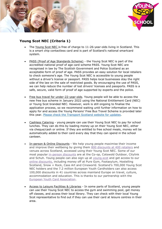



# **Young Scot NEC (Criteria 1)**

- The Young Scot NEC is free of charge to 11-26-year-olds living in Scotland. This is a smart chip contactless card and is part of Scotland's national smartcard system.
- PASS (Proof of Age Standards Scheme) the Young Scot NEC is part of the accredited national proof of age card scheme PASS. Young Scot NEC are recognised in law by The Scottish Government and Police Scotland as an acceptable form of proof of age. PASS provides an easy solution for local retailers to check someone's age. The Young Scot NEC is accessible to young people without a driver's license or passport. PASS helps local businesses stay the right side of the law on the sale of restricted goods. By encouraging the use of PASS, we can help reduce the number of lost drivers' licenses and passports. PASS is a safe, secure, valid form of proof of age supported by experts and the police.
- Free bus travel for under-22-year-olds. Young people will be able to access the new free bus scheme in January 2022 using the National Entitlement Card (NEC) or Young Scot branded NEC. However, work is still ongoing to finalise the application process, so we recommend waiting until further information on how to apply for and access the Young Persons' Free Bus Travel Scheme is provided later this year. [Please check the Transport Scotland website for updates.](https://www.transport.gov.scot/concessionary-travel/young-persons-free-bus-travel-scheme/)
- Cashless Catering young people can use their Young Scot NEC to pay for school lunches. They can do this by loading money up on their Young Scot NEC, either via cheque/cash or online. If they are entitled to free school meals, money will be automatically added to their card every day that they can spend in the school canteen.
- In-person & Online Discounts We help young people maximise their income and improve their wellbeing by giving them [800 discounts at 400 retailers](https://young.scot/discounts-and-rewards) and venues across Scotland, accessed using their Young Scot NEC. Some of our most popular [in-person discounts](https://young.scot/discounts-and-rewards/discounts?instore=1) are at the Co-op, Cotswold Outdoor, Citylink and Schuh. Young people can also sign up at [young.scot](https://young.scot/) and get access to our [online discounts,](https://young.scot/discounts-and-rewards/discounts?online=1) including money off at Pure Gym, Footasylum, Hostelling Scotland, Snow + Rock, Cass Art and Cineworld. Scotland's 700,000 Young Scot NEC holders and the 7.2 million European Youth Cardholders can also access 100,000 discounts in 41 countries across mainland Europe on travel, culture, accommodation and education. This is thanks to our partnership with the [European Youth Card Association.](https://young.scot/campaigns/national/europe)
- Access to Leisure Facilities & Libraries In some parts of Scotland, young people can use their Young Scot NEC to access the gym and swimming pool, get money off classes, and access their local library. They can check with their local Young Scot representative to find out if they can use their card at leisure centres in their area.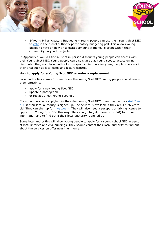



• E-Voting & Participatory Budgeting – Young people can use their Young Scot NEC to [vote](https://voting.youngscot.org/Election/SelectConstituencyGroup/pbtv) in their local authority participatory budgeting poll. This allows young people to vote on how an allocated amount of money is spent within their community on youth projects.

In Appendix 1 you will find a list of in-person discounts young people can access with their Young Scot NEC. Young people can also sign up at young.scot to access online discounts. Also, each local authority has specific discounts for young people to access in their area such as local cafes and leisure centres.

#### **How to apply for a Young Scot NEC or order a replacement**

Local authorities across Scotland issue the Young Scot NEC. Young people should contact them directly to:

- apply for a new Young Scot NEC
- update a photograph
- or replace a lost Young Scot NEC

If a young person is applying for their first Young Scot NEC, then they can use Get [Your](https://getyournec.scot/nec/) [NEC](https://getyournec.scot/nec/) if their local authority is signed up. The service is available if they are 12-26 years old. They can sign up for [myaccount.](https://www.mygov.scot/myaccount) They will also need a passport or driving licence to apply for a Young Scot NEC this way. They can go to getyournec.scot FAQ for more information and to find out if their local authority is signed up

Some local authorities will allow young people to apply for a young school NEC in person at local libraries and civil buildings. They should contact their local authority to find out about the services on offer near their home.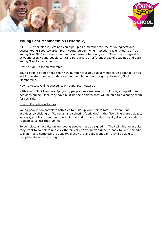



# **Young Scot Membership (Criteria 2)**

All 12-26-year-olds in Scotland can sign up as a member for free at young.scot and access Young Scot Rewards. Every young person living in Scotland is entitled to a free Young Scot NEC so there are no financial barriers to taking part. Once they're signed up at young.scot, young people can take part in lots of different types of activities and earn Young Scot Rewards points.

#### How to sign up for Membership

Young people do not need their NEC number to sign up as a member. In appendix 2 you will find a step-by-step guide for young people on how to sign up to Young Scot Membership.

#### How to Access Online Discounts & Young Scot Rewards

With Young Scot Membership, young people can earn rewards points by completing fun activities online. Once they have built up their points, they will be able to exchange them for rewards.

#### How to Complete Activities

Young people can complete activities to build up your points total. They can find activities by clicking on 'Rewards' and selecting 'activities' in the filter. There are quizzes, surveys, articles to read and more. At the end of the activity, they'll get a points code to redeem to collect their points.

To complete an activity online, young people must be signed in. They will find an activity they want to complete and click the pink 'Get Now' button under 'Ready to Get Started?' to sign in and complete the activity. If they are already signed in, they'll be able to complete the activity straight away.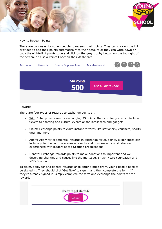



How to Redeem Points

There are two ways for young people to redeem their points. They can click on the link provided to add their points automatically to their account or they can write down or copy the eight-digit points code and click on the grey trophy button on the top right of the screen, or 'Use a Points Code' on their dashboard.

| Rewards<br><b>Discounts</b> | <b>Special Opportunities</b>    | My Membership     | OQTA |
|-----------------------------|---------------------------------|-------------------|------|
|                             | <b>My Points</b><br><b>5007</b> | Use a Points Code |      |

#### Rewards

There are four types of rewards to exchange points on.

- Win: Enter prize draws by exchanging 25 points. Items up for grabs can include tickets to sporting and cultural events or the latest tech and gadgets.
- Claim: Exchange points to claim instant rewards like stationary, vouchers, sports gear and more.
- Apply: Apply for experiential rewards in exchange for 25 points. Experiences can include going behind the scenes at events and businesses or work shadow experiences with leaders at top Scottish organisations.
- Donate: Exchange rewards points to make donations to important and well deserving charities and causes like the Big Issue, British Heart Foundation and MND Scotland.

To claim, apply for and donate rewards or to enter a prize draw, young people need to be signed in. They should click 'Get Now' to sign in and then complete the form. If they're already signed in, simply complete the form and exchange the points for the reward.

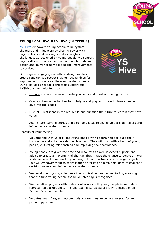



# **Young Scot Hive #YS Hive (Criteria 3)**

[#YSHive](https://youngscot.net/yshive) empowers young people to be system changers and influencers by sharing power with organisations and tackling society's toughest challenges. Co-designed by young people, we support organisations to partner with young people to define, design and deliver of new policies and improvements to services.

Our range of engaging and ethical design models create conditions, discover insights, shape ideas for improvement to unlock culture and system change. Our skills, design models and tools support our #YSHive young volunteers to:



- Explore Frame the vision, probe problems and question the big picture.
- Create Seek opportunities to prototype and play with ideas to take a deeper dive into the issues.
- Disrupt Test ideas in the real world and question the future to learn if they have value.
- Act Share learning stories and pitch bold ideas to challenge decision makers and influence real system change.

#### Benefits of volunteering

- Volunteering with us provides young people with opportunities to build their knowledge and skills outside the classroom. They will work with a team of young people, cultivating relationships and improving their confidence.
- Young people are given the time and resources as well as expert support and advice to create a movement of change. They'll have the chance to create a more sustainable and fairer world by working with our partners on co-design projects. This will empower them to share learning stories and pitch bold ideas to challenge decision makers and influence real system change.
- We develop our young volunteers through training and accreditation, meaning that the time young people spend volunteering is recognised.
- We co-deliver projects with partners who work with young people from underrepresented backgrounds. This approach ensures we are fully reflective of all Scotland's young people.
- Volunteering is free, and accommodation and meal expenses covered for inperson opportunities.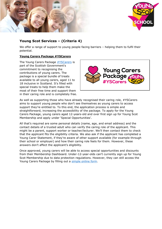



# **Young Scot Services – (Criteria 4)**

We offer a range of support to young people facing barriers – helping them to fulfil their potential.

#### **Young Carers Package #YSCarers**

The Young Carers Package [#YSCarers](https://youngscot.net/young-carers-package) is part of the Scottish Government's commitment to recognising the contributions of young carers. The package is a special bundle of treats available to all young carers, aged 11 to 18 inclusive in Scotland. It's filled with special treats to help them make the most of their free time and support them in their caring role and is completely free.



As well as supporting those who have already recognised their caring role, #YSCarers aims to support young people who don't see themselves as young carers to access support they're entitled to. To this end, the application process is simple and straightforward, increasing the accessibility of the package. To apply for the Young Carers Package, young carers aged 12-years-old and over first sign up for Young Scot Membership and apply under 'Special Opportunities'.

All that's required are some personal details (name, age, and email address) and the contact details of a trusted adult who can verify the caring role of the applicant. This might be a parent, support worker or teacher/lecturer. We'll then contact them to check that the applicant fits the eligibility criteria. We also ask if the applicant has completed a Young Carer Statement, if they're aware of other support available (for example through their school or employer) and how their caring role feels for them. However, these answers don't affect the applicant's eligibility.

Once approved, young carers will be able to access special opportunities and discounts from their Membership Dashboard. Under-12-year-olds can't currently sign up for Young Scot Membership due to data protection regulations. However, they can still access the Young Carers Package by filling out a [simple online form.](https://www.surveygizmo.eu/s3/90147053/Application-Form-for-Young-Carers-Package.)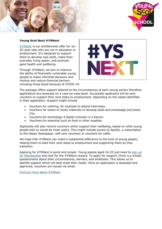

#### **Young Scot Next #YSNext**

[#YSNext](https://youngscot.net/young-scot-next-ysnext) is our entitlements offer for 16- 25-year-olds who are not in education or employment. It's designed to support them to develop new skills, make their everyday living easier, and promote good health and wellbeing.

Through #YSNext, we aim to improve the ability of financially vulnerable young people to make informed decisions and choices and reduce financial barriers, including those faced because of COVID-19.



The package offers support tailored to the circumstances of each young person therefore applications are assessed on a case-by-case basis. Successful applicants will be sent vouchers to support their next steps to employment, depending on the needs identified in their application. Support might include

- Vouchers for clothing, for example to attend interviews.
- Vouchers for books or study materials to develop skills and knowledge and boost CVs.
- Vouchers for technology if digital inclusion is a barrier.
- Vouchers for essential such as food or other supplies.

Applicants will also receive vouchers which support their wellbeing, based on what young people told us would be most useful. This might include access to Spotify, a subscription to the Happy Newspaper, self-care vouchers or vouchers for cafés.

We hope that #YSNext can make a substantial difference to the lives of young people, helping them to take their next steps to employment and supporting them as they transition.

Applying for #YSNext is quick and simple. Young people aged 16-25 just need to sign up [for Membership](https://membership.young.scot/home/) and look for the #YSNext reward. To apply for support, there is a simple questionnaire about their circumstances, barriers, and ambitions. This allows us to identify support which will best meet their needs. Once an application is assessed and approved, vouchers are issued via email.

[Find out more about #YSNext](https://young.scot/get-informed/national/ysnext-apply-for-ysnext)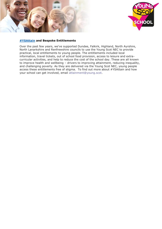



#### **[#YSAttain](https://youngscot.net/attainment) and Bespoke Entitlements**

Over the past few years, we've supported Dundee, Falkirk, Highland, North Ayrshire, North Lanarkshire and Renfrewshire councils to use the Young Scot NEC to provide practical, local entitlements to young people. The entitlements included local information, travel tickets, out of school food provision, access to leisure and extracurricular activities, and help to reduce the cost of the school day. These are all known to improve health and wellbeing – drivers to improving attainment, reducing inequality, and challenging poverty. As they are delivered via the Young Scot NEC, young people access these entitlements free of stigma. To find out more about #YSAttain and how your school can get involved, email [attainment@young.scot.](mailto:attainment@young.scot)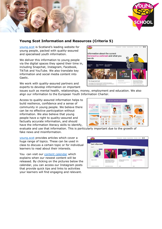



# **Young Scot Information and Resources (Criteria 5)**

[young.scot](https://young.scot/) is Scotland's leading website for young people, packed with quality-assured and specialised youth information.

We deliver this information to young people via the digital spaces they spend their time in, including Snapchat, Instagram, Facebook, TikTok and YouTube. We also translate key information and social media content into Gaelic.

We work with quality-assured partners and experts to develop information on important



issues such as mental health, relationships, money, employment and education. We also align our information to the European Youth Information Charter.

Access to quality-assured information helps to build resilience, confidence and a sense of community in young people. We believe there can be no effective participation without information. We also believe that young people have a right to quality-assured and factually accurate information, and should have the information literacy skills to identify,



evaluate and use that information. This is particularly important due to the growth of fake news and misinformation.

[young.scot](https://young.scot/) provides articles which cover a huge range of topics. These can be used in class to discuss a certain topic or for individual learners to read about their interests.

You can visit our [content calendar](https://youngscot.net/digital-content-and-campaigns) which explains when our newest content will be released. By clicking on the pictures below the calendar, you can access our Instagram posts that provide quick tips and links to activities your learners will find engaging and relevant.

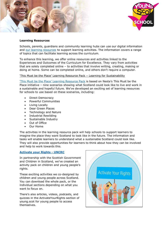



#### **Learning Resources**

Schools, parents, guardians and community learning hubs can use our digital information and [our learning resources](https://youngscot.net/learning-resources) to support learning activities. The information covers a range of topics that can facilitate learning across the curriculum.

To enhance this learning, we offer online resources and activities linked to the Experiences and Outcomes of the Curriculum for Excellence. They vary from activities that are solely completed online – to activities that involve writing, creating, making or doing at home. Some can be completed online, and others don't require a computer.

#### 'This Must be the Place' Learning Resource Pack – Learning for Sustainability

['This Must be the Place' Learning Resource Pack](https://youngscot.net/learning-resources#this-must-be-the-place) is based on Nesta's This Must be the Place initiative – nine scenarios showing what Scotland could look like to live and work in a sustainable and hopeful future. We've developed an exciting set of learning resources for schools to use based on these scenarios, including:

- Direct Democracy
- Powerful Communities
- Living Locally
- Dear Green Places
- Technology and Nature
- Industrial Rewilding
- Sustainable Industry
- Out of Office
- Our Home

The activities in the learning resource pack will help schools to support learners to imagine the place they want Scotland to look like in the future. The information and tasks will enable learners to understand what a sustainable Scotland could look like. They will also provide opportunities for learners to think about how they can be involved and help to work towards this.

#### **[Activate your Rights -](https://youngscot.net/learning-resources#activate-your-rights) UNCRC**

In partnership with the Scottish Government and Children in Scotland, we've created an activity pack on children and young people's rights.

These exciting activities we co-designed by children and young people across Scotland. You can download the whole pack, or the individual sections depending on what you want to focus on.

There's also articles, videos, podcasts, and quizzes in the ActivateYourRights section of young.scot for young people to access themselves.

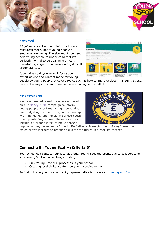



#### **[#AyeFeel](https://young.scot/campaigns/national/aye-feel)**

#AyeFeel is a collection of information and resources that support young people's emotional wellbeing. The site and its content help young people to understand that it's perfectly normal to be dealing with fear, uncertainty, anger, or sadness during difficult circumstances.

It contains quality-assured information, expert advice and content made for young



people by young people. It covers topics such as how to improve sleep, managing stress, productive ways to spend time online and coping with conflict.

#### **[#MoneyandMe](https://youngscot.net/learning-resources#money-and-me)**

We have created learning resources based on our [Money & Me](https://young.scot/campaigns/national/money-and-me) campaign to inform young people about managing money, debt and budgeting for the future, in partnership with The Money and Pensions Service Youth Checkpoints Programme. These resources include a "Jargonbuster" to make sense of



popular money terms and a "How to Be Better at Managing Your Money" resource which allows learners to practice skills for the future in a real-life context.

# **Connect with Young Scot – (Criteria 6)**

Your school can contact your local authority Young Scot representative to collaborate on local Young Scot opportunities, including:

- Bulk Young Scot NEC processes in your school.
- Creating local digital content on young.scot/near-me

To find out who your local authority representative is, please visit [young.scot/card.](https://youngscotenterprise-my.sharepoint.com/personal/charlotteh_young_scot/Documents/Microsoft%20Teams%20Chat%20Files/young.scot/card)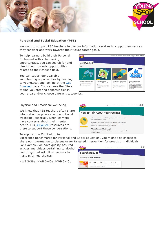



#### **Personal and Social Education (PSE)**

We want to support PSE teachers to use our information services to support learners as they consider and work towards their future career goals.

To help learners build their Personal Statement with volunteering opportunities, you can search for and direct them towards opportunities related to their chosen field.

You can see all our available volunteering opportunities by heading to young.scot and looking at the Get [Involved](https://young.scot/get-involved) page. You can use the filters to find volunteering opportunities in your area and/or choose different categories.



#### Physical and Emotional Wellbeing

We know that PSE teachers often share information on physical and emotional wellbeing, especially when learners have concerns about their mental health. Our [#AyeFeel](https://young.scot/campaigns/national/aye-feel) resources are there to support these conversations.

#### To support the Curriculum for

Excellence Benchmarks for Personal and Social Education, you might also choose to share our information to classes or for targeted intervention for groups or individuals.

For example, we have quality-assured articles and videos pertaining to alcohol and drugs that will allow learners to make informed choices.

HWB 3-38a, HWB 3-40a, HWB 3-40b



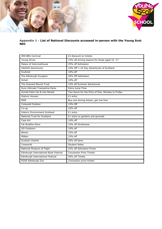



#### **Appendix 1 - List of National Discounts accessed in-person with the Young Scot NEC**

| <b>IRN-BRU Carnival</b>               | £3 discount on tickets                           |  |
|---------------------------------------|--------------------------------------------------|--|
| Young Driver                          | 15% off driving lessons for those aged 10 -17    |  |
| Palace of Holyroodhouse               | 25% off Admission                                |  |
| <b>HAGGIS Adventures</b>              | 10% Off 1-10 Day Adventures of Scotland          |  |
| Scotmid                               | 10% off                                          |  |
| The Edinburgh Dungeon                 | 20% Off Admission                                |  |
| Schuh                                 | 10% off                                          |  |
| The Outward Bound Trust               | 10% off Summer Adventures                        |  |
| Ryze Ultimate Trampoline Parks        | Extra Jump Time                                  |  |
| Arnold Clark Car & Van Rental         | Two Hours for the Price of One, Monday to Friday |  |
| <b>Historic Houses</b>                | £1 entry                                         |  |
| <b>BSM</b>                            | Buy one driving lesson, get one free             |  |
| Cotswold Outdoor                      | 15% Off                                          |  |
| Co-op                                 | 10% off                                          |  |
| <b>Historic Environment Scotland</b>  | £1 entry                                         |  |
| National Trust for Scotland           | £1 entry to gardens and grounds                  |  |
| Cass Art                              | 10% off                                          |  |
| Fat Buddha Store                      | 10% off Streetwear                               |  |
| GO Outdoors                           | 10% off                                          |  |
| <b>Blacks</b>                         | 15% off                                          |  |
| Millets                               | 15% off                                          |  |
| Scottish Citylink                     | 20% off fares                                    |  |
| Cineworld                             | <b>Student Rates</b>                             |  |
| National Museum of Flight             | 25% off Admission Prices                         |  |
| Edinburgh International Book Festival | <b>Concession Price Tickets</b>                  |  |
| Edinburgh International Festival      | 50% off Tickets                                  |  |
| RZSS Edinburgh Zoo                    | Concession price tickets                         |  |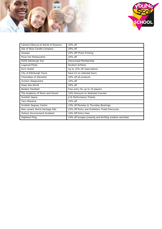



| Camera Obscura & World of Illusions  | 10% off                                                 |  |
|--------------------------------------|---------------------------------------------------------|--|
| Isle of Skye Candle Company          | $20%$ off                                               |  |
| Jessops                              | 25% Off Photo Printing                                  |  |
| Pizza Hut Restaurants                | 20% off                                                 |  |
| RZSS Edinburgh Zoo                   | Discounted Membership                                   |  |
| Loganair/Flybe                       | <b>Student Airfares</b>                                 |  |
| Euro Hostel                          | Up to 15% off reservations                              |  |
| City of Edinburgh Tours              | Save £2 on selected tours                               |  |
| Chocolates of Glenshiel              | 20% off all products                                    |  |
| Archers Sleepcentre                  | $10%$ off                                               |  |
| Deep Sea World                       | 20% off                                                 |  |
| Bedlam Paintball                     | Free entry for up to 10 players                         |  |
| The Academy of Music and Sound       | 10% Discount on Selected Courses                        |  |
| Scottish Opera                       | £10 Performance Tickets                                 |  |
| Taco Mazama                          | 10% off                                                 |  |
| Scottish Segway Centre               | 10% off Monday to Thursday Bookings                     |  |
| New Lanark World Heritage Site       | 25% Off Entry and Exhibition Ticket Discounts           |  |
| <b>Historic Environment Scotland</b> | 10% Off Entry Fees                                      |  |
| <b>Highland Fling</b>                | 10% off bungee jumping and thrilling outdoor activities |  |